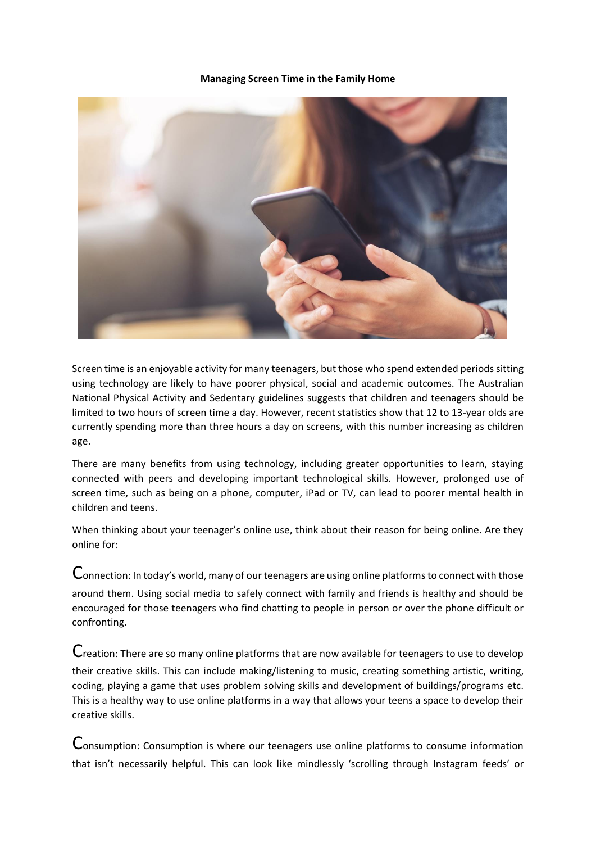## **Managing Screen Time in the Family Home**



Screen time is an enjoyable activity for many teenagers, but those who spend extended periods sitting using technology are likely to have poorer physical, social and academic outcomes. The Australian National Physical Activity and Sedentary guidelines suggests that children and teenagers should be limited to two hours of screen time a day. However, recent statistics show that 12 to 13-year olds are currently spending more than three hours a day on screens, with this number increasing as children age.

There are many benefits from using technology, including greater opportunities to learn, staying connected with peers and developing important technological skills. However, prolonged use of screen time, such as being on a phone, computer, iPad or TV, can lead to poorer mental health in children and teens.

When thinking about your teenager's online use, think about their reason for being online. Are they online for:

Connection: In today's world, many of our teenagers are using online platforms to connect with those around them. Using social media to safely connect with family and friends is healthy and should be encouraged for those teenagers who find chatting to people in person or over the phone difficult or confronting.

Creation: There are so many online platforms that are now available for teenagers to use to develop their creative skills. This can include making/listening to music, creating something artistic, writing, coding, playing a game that uses problem solving skills and development of buildings/programs etc. This is a healthy way to use online platforms in a way that allows your teens a space to develop their creative skills.

Consumption: Consumption is where our teenagers use online platforms to consume information that isn't necessarily helpful. This can look like mindlessly 'scrolling through Instagram feeds' or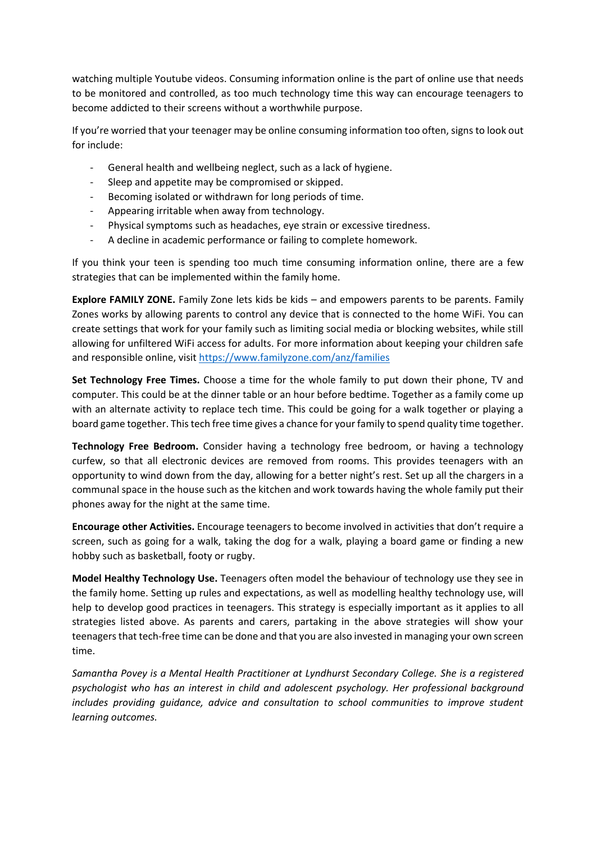watching multiple Youtube videos. Consuming information online is the part of online use that needs to be monitored and controlled, as too much technology time this way can encourage teenagers to become addicted to their screens without a worthwhile purpose.

If you're worried that your teenager may be online consuming information too often, signs to look out for include:

- General health and wellbeing neglect, such as a lack of hygiene.
- Sleep and appetite may be compromised or skipped.
- Becoming isolated or withdrawn for long periods of time.
- Appearing irritable when away from technology.
- Physical symptoms such as headaches, eye strain or excessive tiredness.
- A decline in academic performance or failing to complete homework.

If you think your teen is spending too much time consuming information online, there are a few strategies that can be implemented within the family home.

**Explore FAMILY ZONE.** Family Zone lets kids be kids – and empowers parents to be parents. Family Zones works by allowing parents to control any device that is connected to the home WiFi. You can create settings that work for your family such as limiting social media or blocking websites, while still allowing for unfiltered WiFi access for adults. For more information about keeping your children safe and responsible online, visit<https://www.familyzone.com/anz/families>

**Set Technology Free Times.** Choose a time for the whole family to put down their phone, TV and computer. This could be at the dinner table or an hour before bedtime. Together as a family come up with an alternate activity to replace tech time. This could be going for a walk together or playing a board game together. This tech free time gives a chance for your family to spend quality time together.

**Technology Free Bedroom.** Consider having a technology free bedroom, or having a technology curfew, so that all electronic devices are removed from rooms. This provides teenagers with an opportunity to wind down from the day, allowing for a better night's rest. Set up all the chargers in a communal space in the house such as the kitchen and work towards having the whole family put their phones away for the night at the same time.

**Encourage other Activities.** Encourage teenagers to become involved in activities that don't require a screen, such as going for a walk, taking the dog for a walk, playing a board game or finding a new hobby such as basketball, footy or rugby.

**Model Healthy Technology Use.** Teenagers often model the behaviour of technology use they see in the family home. Setting up rules and expectations, as well as modelling healthy technology use, will help to develop good practices in teenagers. This strategy is especially important as it applies to all strategies listed above. As parents and carers, partaking in the above strategies will show your teenagers that tech-free time can be done and that you are also invested in managing your own screen time.

*Samantha Povey is a Mental Health Practitioner at Lyndhurst Secondary College. She is a registered psychologist who has an interest in child and adolescent psychology. Her professional background includes providing guidance, advice and consultation to school communities to improve student learning outcomes.*